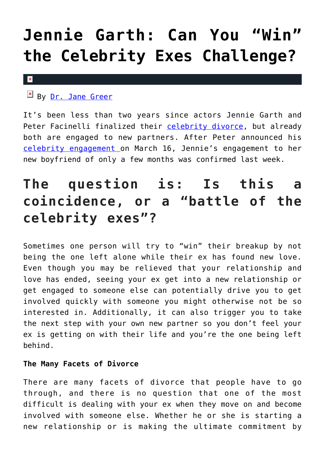# **[Jennie Garth: Can You "Win"](https://cupidspulse.com/91539/jennie-garth-win-celebrity-exes-breakup/) [the Celebrity Exes Challenge?](https://cupidspulse.com/91539/jennie-garth-win-celebrity-exes-breakup/)**

#### $\mathbf x$

## $By$  [Dr. Jane Greer](https://www.psychologytoday.com/blog/shrink-wrap/201504/jennie-garth-can-you-win-the-breakup)

It's been less than two years since actors Jennie Garth and Peter Facinelli finalized their [celebrity divorce,](http://cupidspulse.com/celebrity-relationships/break-up-divorce/) but already both are engaged to new partners. After Peter announced his [celebrity engagement o](http://cupidspulse.com/celebrity-relationships/wedding-engagement/)n March 16, Jennie's engagement to her new boyfriend of only a few months was confirmed last week.

# **The question is: Is this a coincidence, or a "battle of the celebrity exes"?**

Sometimes one person will try to "win" their breakup by not being the one left alone while their ex has found new love. Even though you may be relieved that your relationship and love has ended, seeing your ex get into a new relationship or get engaged to someone else can potentially drive you to get involved quickly with someone you might otherwise not be so interested in. Additionally, it can also trigger you to take the next step with your own new partner so you don't feel your ex is getting on with their life and you're the one being left behind.

### **The Many Facets of Divorce**

There are many facets of divorce that people have to go through, and there is no question that one of the most difficult is dealing with your ex when they move on and become involved with someone else. Whether he or she is starting a new relationship or is making the ultimate commitment by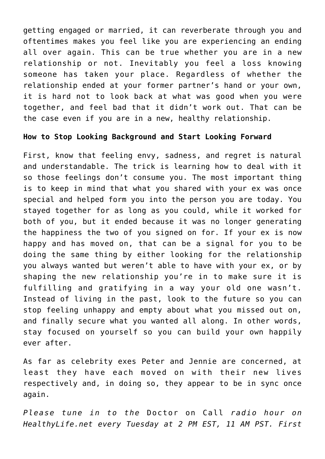getting engaged or married, it can reverberate through you and oftentimes makes you feel like you are experiencing an ending all over again. This can be true whether you are in a new relationship or not. Inevitably you feel a loss knowing someone has taken your place. Regardless of whether the relationship ended at your former partner's hand or your own, it is hard not to look back at what was good when you were together, and feel bad that it didn't work out. That can be the case even if you are in a new, healthy relationship.

### **How to Stop Looking Background and Start Looking Forward**

First, know that feeling envy, sadness, and regret is natural and understandable. The trick is learning how to deal with it so those feelings don't consume you. The most important thing is to keep in mind that what you shared with your ex was once special and helped form you into the person you are today. You stayed together for as long as you could, while it worked for both of you, but it ended because it was no longer generating the happiness the two of you signed on for. If your ex is now happy and has moved on, that can be a signal for you to be doing the same thing by either looking for the relationship you always wanted but weren't able to have with your ex, or by shaping the new relationship you're in to make sure it is fulfilling and gratifying in a way your old one wasn't. Instead of living in the past, look to the future so you can stop feeling unhappy and empty about what you missed out on, and finally secure what you wanted all along. In other words, stay focused on yourself so you can build your own happily ever after.

As far as celebrity exes Peter and Jennie are concerned, at least they have each moved on with their new lives respectively and, in doing so, they appear to be in sync once again.

*Please tune in to the* Doctor on Call *radio hour on HealthyLife.net every Tuesday at 2 PM EST, 11 AM PST. First*